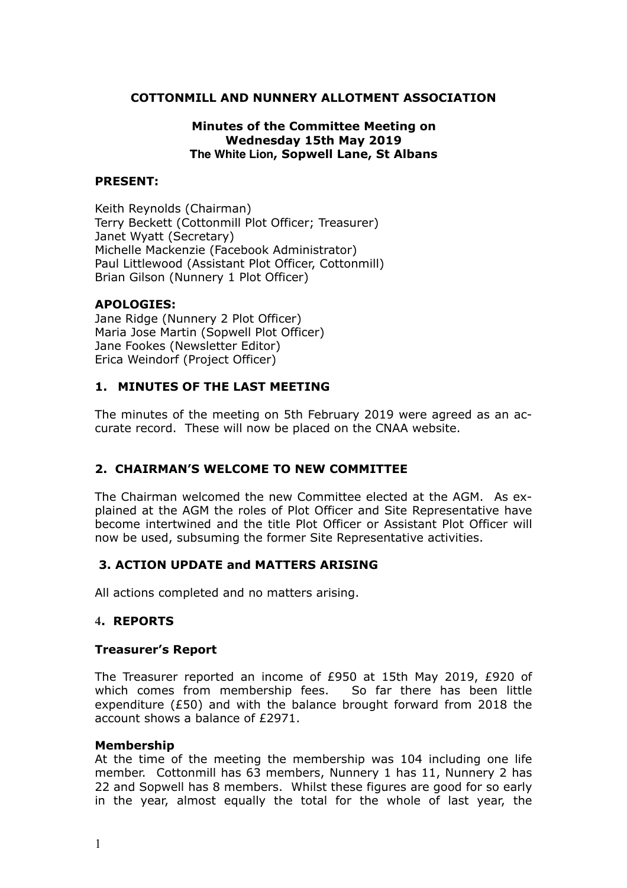## **COTTONMILL AND NUNNERY ALLOTMENT ASSOCIATION**

### **Minutes of the Committee Meeting on Wednesday 15th May 2019 The White Lion, Sopwell Lane, St Albans**

#### **PRESENT:**

Keith Reynolds (Chairman) Terry Beckett (Cottonmill Plot Officer; Treasurer) Janet Wyatt (Secretary) Michelle Mackenzie (Facebook Administrator) Paul Littlewood (Assistant Plot Officer, Cottonmill) Brian Gilson (Nunnery 1 Plot Officer)

#### **APOLOGIES:**

Jane Ridge (Nunnery 2 Plot Officer) Maria Jose Martin (Sopwell Plot Officer) Jane Fookes (Newsletter Editor) Erica Weindorf (Project Officer)

## **1. MINUTES OF THE LAST MEETING**

The minutes of the meeting on 5th February 2019 were agreed as an accurate record. These will now be placed on the CNAA website.

## **2. CHAIRMAN'S WELCOME TO NEW COMMITTEE**

The Chairman welcomed the new Committee elected at the AGM. As explained at the AGM the roles of Plot Officer and Site Representative have become intertwined and the title Plot Officer or Assistant Plot Officer will now be used, subsuming the former Site Representative activities.

### **3. ACTION UPDATE and MATTERS ARISING**

All actions completed and no matters arising.

### **4. REPORTS**

### **Treasurer's Report**

The Treasurer reported an income of £950 at 15th May 2019, £920 of which comes from membership fees. So far there has been little expenditure (£50) and with the balance brought forward from 2018 the account shows a balance of £2971.

#### **Membership**

At the time of the meeting the membership was 104 including one life member. Cottonmill has 63 members, Nunnery 1 has 11, Nunnery 2 has 22 and Sopwell has 8 members. Whilst these figures are good for so early in the year, almost equally the total for the whole of last year, the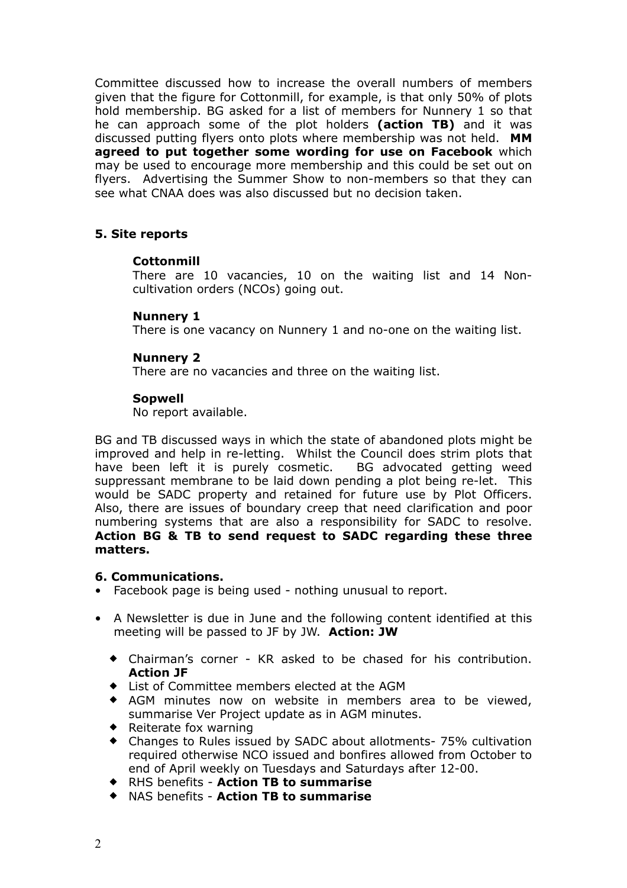Committee discussed how to increase the overall numbers of members given that the figure for Cottonmill, for example, is that only 50% of plots hold membership. BG asked for a list of members for Nunnery 1 so that he can approach some of the plot holders **(action TB)** and it was discussed putting flyers onto plots where membership was not held. **MM agreed to put together some wording for use on Facebook** which may be used to encourage more membership and this could be set out on flyers. Advertising the Summer Show to non-members so that they can see what CNAA does was also discussed but no decision taken.

## **5. Site reports**

### **Cottonmill**

There are 10 vacancies, 10 on the waiting list and 14 Noncultivation orders (NCOs) going out.

## **Nunnery 1**

There is one vacancy on Nunnery 1 and no-one on the waiting list.

## **Nunnery 2**

There are no vacancies and three on the waiting list.

## **Sopwell**

No report available.

BG and TB discussed ways in which the state of abandoned plots might be improved and help in re-letting. Whilst the Council does strim plots that have been left it is purely cosmetic. BG advocated getting weed suppressant membrane to be laid down pending a plot being re-let. This would be SADC property and retained for future use by Plot Officers. Also, there are issues of boundary creep that need clarification and poor numbering systems that are also a responsibility for SADC to resolve. **Action BG & TB to send request to SADC regarding these three matters.**

### **6. Communications.**

- Facebook page is being used nothing unusual to report.
- A Newsletter is due in June and the following content identified at this meeting will be passed to JF by JW. **Action: JW** 
	- Chairman's corner KR asked to be chased for his contribution. **Action JF**
	- List of Committee members elected at the AGM
	- AGM minutes now on website in members area to be viewed, summarise Ver Project update as in AGM minutes.
	- Reiterate fox warning
	- Changes to Rules issued by SADC about allotments- 75% cultivation required otherwise NCO issued and bonfires allowed from October to end of April weekly on Tuesdays and Saturdays after 12-00.
	- RHS benefits **Action TB to summarise**
	- NAS benefits **Action TB to summarise**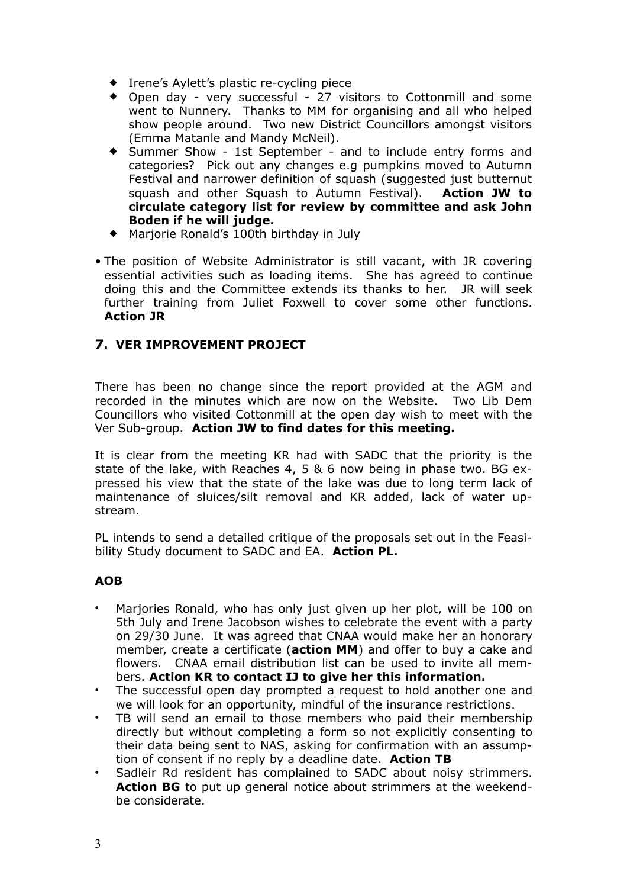- ◆ Irene's Aylett's plastic re-cycling piece
- Open day very successful 27 visitors to Cottonmill and some went to Nunnery. Thanks to MM for organising and all who helped show people around. Two new District Councillors amongst visitors (Emma Matanle and Mandy McNeil).
- Summer Show 1st September and to include entry forms and categories? Pick out any changes e.g pumpkins moved to Autumn Festival and narrower definition of squash (suggested just butternut squash and other Squash to Autumn Festival). **Action JW to circulate category list for review by committee and ask John Boden if he will judge.**
- Marjorie Ronald's 100th birthday in July
- The position of Website Administrator is still vacant, with JR covering essential activities such as loading items. She has agreed to continue doing this and the Committee extends its thanks to her. JR will seek further training from Juliet Foxwell to cover some other functions. **Action JR**

# **7. VER IMPROVEMENT PROJECT**

There has been no change since the report provided at the AGM and recorded in the minutes which are now on the Website. Two Lib Dem Councillors who visited Cottonmill at the open day wish to meet with the Ver Sub-group. **Action JW to find dates for this meeting.**

It is clear from the meeting KR had with SADC that the priority is the state of the lake, with Reaches 4, 5 & 6 now being in phase two. BG expressed his view that the state of the lake was due to long term lack of maintenance of sluices/silt removal and KR added, lack of water upstream.

PL intends to send a detailed critique of the proposals set out in the Feasibility Study document to SADC and EA. **Action PL.**

### **AOB**

- Marjories Ronald, who has only just given up her plot, will be 100 on 5th July and Irene Jacobson wishes to celebrate the event with a party on 29/30 June. It was agreed that CNAA would make her an honorary member, create a certificate (**action MM**) and offer to buy a cake and flowers. CNAA email distribution list can be used to invite all members. **Action KR to contact IJ to give her this information.**
- The successful open day prompted a request to hold another one and we will look for an opportunity, mindful of the insurance restrictions.
- TB will send an email to those members who paid their membership directly but without completing a form so not explicitly consenting to their data being sent to NAS, asking for confirmation with an assumption of consent if no reply by a deadline date. **Action TB**
- Sadleir Rd resident has complained to SADC about noisy strimmers. **Action BG** to put up general notice about strimmers at the weekendbe considerate.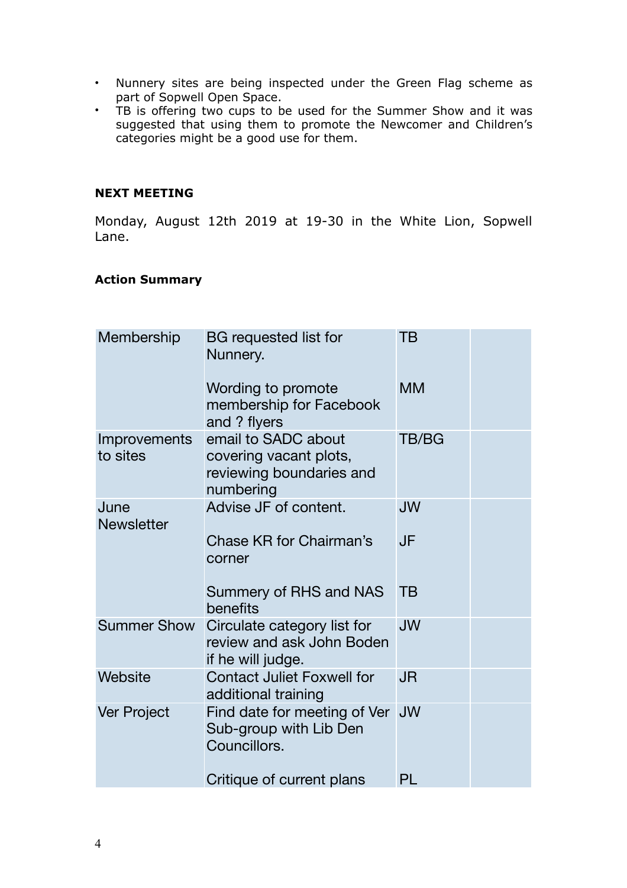- Nunnery sites are being inspected under the Green Flag scheme as part of Sopwell Open Space.
- TB is offering two cups to be used for the Summer Show and it was suggested that using them to promote the Newcomer and Children's categories might be a good use for them.

## **NEXT MEETING**

Monday, August 12th 2019 at 19-30 in the White Lion, Sopwell Lane.

### **Action Summary**

| Membership                | <b>BG</b> requested list for<br>Nunnery.                                               | <b>TB</b>    |  |
|---------------------------|----------------------------------------------------------------------------------------|--------------|--|
|                           | Wording to promote<br>membership for Facebook<br>and ? flyers                          | <b>MM</b>    |  |
| Improvements<br>to sites  | email to SADC about<br>covering vacant plots,<br>reviewing boundaries and<br>numbering | <b>TB/BG</b> |  |
| June<br><b>Newsletter</b> | Advise JF of content.                                                                  | <b>JW</b>    |  |
|                           | Chase KR for Chairman's<br>corner                                                      | JF           |  |
|                           | Summery of RHS and NAS<br>benefits                                                     | <b>TB</b>    |  |
| <b>Summer Show</b>        | Circulate category list for<br>review and ask John Boden<br>if he will judge.          | <b>JW</b>    |  |
| Website                   | <b>Contact Juliet Foxwell for</b><br>additional training                               | <b>JR</b>    |  |
| Ver Project               | Find date for meeting of Ver<br>Sub-group with Lib Den<br>Councillors.                 | <b>JW</b>    |  |
|                           | Critique of current plans                                                              | PL           |  |